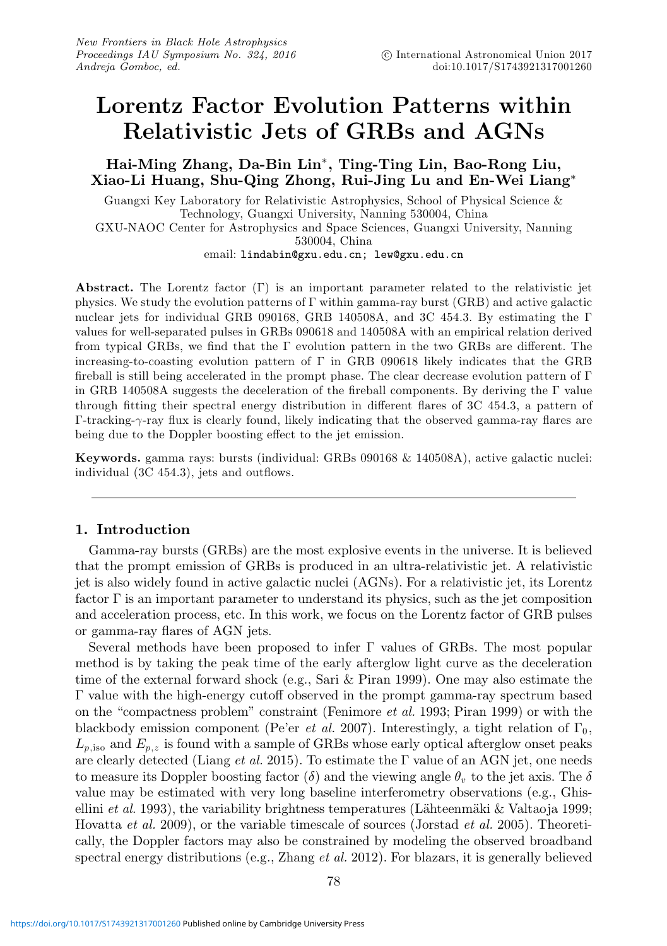# **Lorentz Factor Evolution Patterns within Relativistic Jets of GRBs and AGNs**

# **Hai-Ming Zhang, Da-Bin Lin**∗**, Ting-Ting Lin, Bao-Rong Liu, Xiao-Li Huang, Shu-Qing Zhong, Rui-Jing Lu and En-Wei Liang**∗

Guangxi Key Laboratory for Relativistic Astrophysics, School of Physical Science & Technology, Guangxi University, Nanning 530004, China GXU-NAOC Center for Astrophysics and Space Sciences, Guangxi University, Nanning 530004, China email: lindabin@gxu.edu.cn; lew@gxu.edu.cn

**Abstract.** The Lorentz factor (Γ) is an important parameter related to the relativistic jet physics. We study the evolution patterns of Γ within gamma-ray burst (GRB) and active galactic nuclear jets for individual GRB 090168, GRB 140508A, and 3C 454.3. By estimating the Γ values for well-separated pulses in GRBs 090618 and 140508A with an empirical relation derived from typical GRBs, we find that the Γ evolution pattern in the two GRBs are different. The increasing-to-coasting evolution pattern of  $\Gamma$  in GRB 090618 likely indicates that the GRB fireball is still being accelerated in the prompt phase. The clear decrease evolution pattern of  $\Gamma$ in GRB 140508A suggests the deceleration of the fireball components. By deriving the Γ value through fitting their spectral energy distribution in different flares of 3C 454.3, a pattern of Γ-tracking-γ-ray flux is clearly found, likely indicating that the observed gamma-ray flares are being due to the Doppler boosting effect to the jet emission.

**Keywords.** gamma rays: bursts (individual: GRBs 090168 & 140508A), active galactic nuclei: individual (3C 454.3), jets and outflows.

## **1. Introduction**

Gamma-ray bursts (GRBs) are the most explosive events in the universe. It is believed that the prompt emission of GRBs is produced in an ultra-relativistic jet. A relativistic jet is also widely found in active galactic nuclei (AGNs). For a relativistic jet, its Lorentz factor  $\Gamma$  is an important parameter to understand its physics, such as the jet composition and acceleration process, etc. In this work, we focus on the Lorentz factor of GRB pulses or gamma-ray flares of AGN jets.

Several methods have been proposed to infer Γ values of GRBs. The most popular method is by taking the peak time of the early afterglow light curve as the deceleration time of the external forward shock (e.g., Sari & Piran 1999). One may also estimate the Γ value with the high-energy cutoff observed in the prompt gamma-ray spectrum based on the "compactness problem" constraint (Fenimore et al. 1993; Piran 1999) or with the blackbody emission component (Pe'er et al. 2007). Interestingly, a tight relation of  $\Gamma_0$ ,  $L_{p,\text{iso}}$  and  $E_{p,z}$  is found with a sample of GRBs whose early optical afterglow onset peaks are clearly detected (Liang et al. 2015). To estimate the  $\Gamma$  value of an AGN jet, one needs to measure its Doppler boosting factor  $(\delta)$  and the viewing angle  $\theta_{\eta}$  to the jet axis. The  $\delta$ value may be estimated with very long baseline interferometry observations (e.g., Ghisellini *et al.* 1993), the variability brightness temperatures (Lähteenmäki & Valtaoja 1999; Hovatta et al. 2009), or the variable timescale of sources (Jorstad et al. 2005). Theoretically, the Doppler factors may also be constrained by modeling the observed broadband spectral energy distributions (e.g., Zhang et al. 2012). For blazars, it is generally believed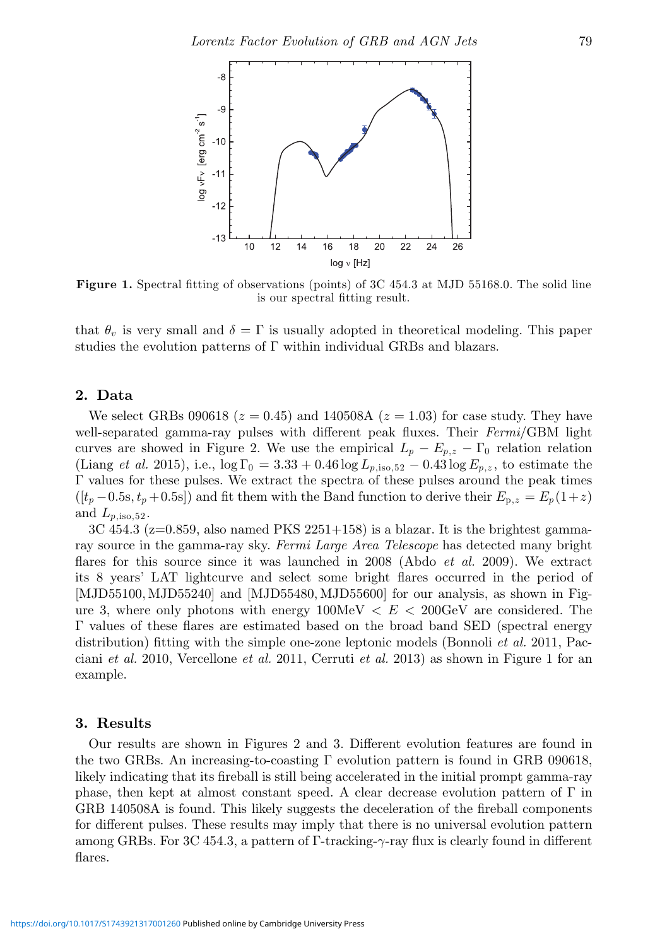

**Figure 1.** Spectral fitting of observations (points) of 3C 454.3 at MJD 55168.0. The solid line is our spectral fitting result.

that  $\theta_v$  is very small and  $\delta = \Gamma$  is usually adopted in theoretical modeling. This paper studies the evolution patterns of Γ within individual GRBs and blazars.

## **2. Data**

We select GRBs 090618 ( $z = 0.45$ ) and 140508A ( $z = 1.03$ ) for case study. They have well-separated gamma-ray pulses with different peak fluxes. Their Fermi/GBM light curves are showed in Figure 2. We use the empirical  $L_p - E_{p,z} - \Gamma_0$  relation relation (Liang et al. 2015), i.e.,  $\log \Gamma_0 = 3.33 + 0.46 \log L_{p,\text{iso},52} - 0.43 \log E_{p,z}$ , to estimate the Γ values for these pulses. We extract the spectra of these pulses around the peak times  $([t_p - 0.5s, t_p + 0.5s])$  and fit them with the Band function to derive their  $E_{p,z} = E_p(1+z)$ and  $L_{p,\text{iso},52}$ .

 $3C$  454.3 ( $z=0.859$ , also named PKS 2251+158) is a blazar. It is the brightest gammaray source in the gamma-ray sky. Fermi Large Area Telescope has detected many bright flares for this source since it was launched in 2008 (Abdo *et al.* 2009). We extract its 8 years' LAT lightcurve and select some bright flares occurred in the period of [MJD55100, MJD55240] and [MJD55480, MJD55600] for our analysis, as shown in Figure 3, where only photons with energy  $100MeV < E < 200 GeV$  are considered. The Γ values of these flares are estimated based on the broad band SED (spectral energy distribution) fitting with the simple one-zone leptonic models (Bonnoli *et al.* 2011, Pacciani et al. 2010, Vercellone et al. 2011, Cerruti et al. 2013) as shown in Figure 1 for an example.

#### **3. Results**

Our results are shown in Figures 2 and 3. Different evolution features are found in the two GRBs. An increasing-to-coasting  $\Gamma$  evolution pattern is found in GRB 090618, likely indicating that its fireball is still being accelerated in the initial prompt gamma-ray phase, then kept at almost constant speed. A clear decrease evolution pattern of  $\Gamma$  in GRB 140508A is found. This likely suggests the deceleration of the fireball components for different pulses. These results may imply that there is no universal evolution pattern among GRBs. For 3C 454.3, a pattern of Γ-tracking- $\gamma$ -ray flux is clearly found in different flares.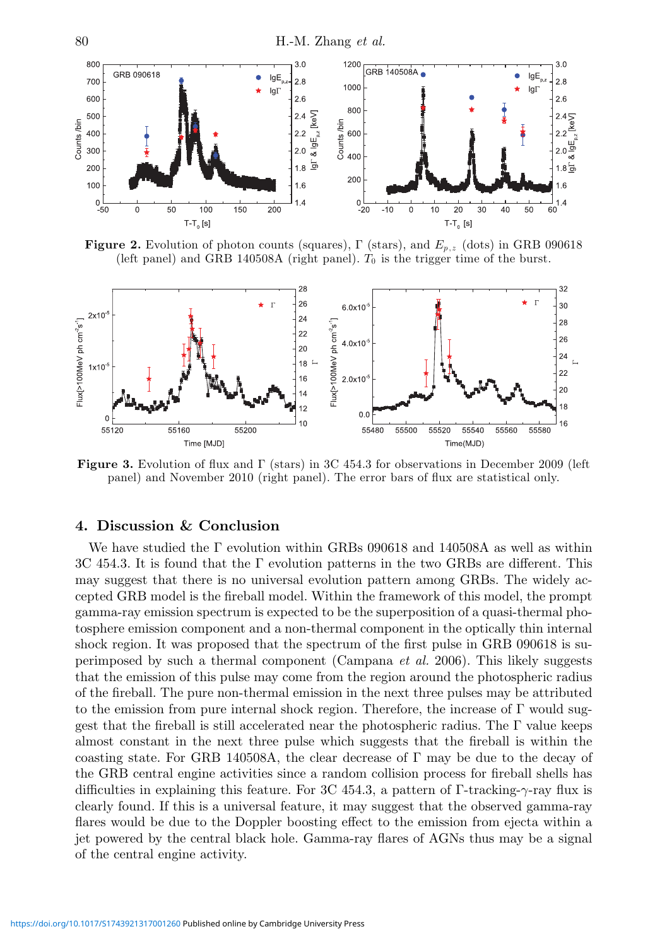

**Figure 2.** Evolution of photon counts (squares),  $\Gamma$  (stars), and  $E_{p,z}$  (dots) in GRB 090618 (left panel) and GRB 140508A (right panel).  $T_0$  is the trigger time of the burst.



**Figure 3.** Evolution of flux and Γ (stars) in 3C 454.3 for observations in December 2009 (left panel) and November 2010 (right panel). The error bars of flux are statistical only.

## **4. Discussion & Conclusion**

We have studied the  $\Gamma$  evolution within GRBs 090618 and 140508A as well as within 3C 454.3. It is found that the Γ evolution patterns in the two GRBs are different. This may suggest that there is no universal evolution pattern among GRBs. The widely accepted GRB model is the fireball model. Within the framework of this model, the prompt gamma-ray emission spectrum is expected to be the superposition of a quasi-thermal photosphere emission component and a non-thermal component in the optically thin internal shock region. It was proposed that the spectrum of the first pulse in GRB 090618 is superimposed by such a thermal component (Campana et al. 2006). This likely suggests that the emission of this pulse may come from the region around the photospheric radius of the fireball. The pure non-thermal emission in the next three pulses may be attributed to the emission from pure internal shock region. Therefore, the increase of  $\Gamma$  would suggest that the fireball is still accelerated near the photospheric radius. The Γ value keeps almost constant in the next three pulse which suggests that the fireball is within the coasting state. For GRB 140508A, the clear decrease of  $\Gamma$  may be due to the decay of the GRB central engine activities since a random collision process for fireball shells has difficulties in explaining this feature. For 3C 454.3, a pattern of Γ-tracking-γ-ray flux is clearly found. If this is a universal feature, it may suggest that the observed gamma-ray flares would be due to the Doppler boosting effect to the emission from ejecta within a jet powered by the central black hole. Gamma-ray flares of AGNs thus may be a signal of the central engine activity.